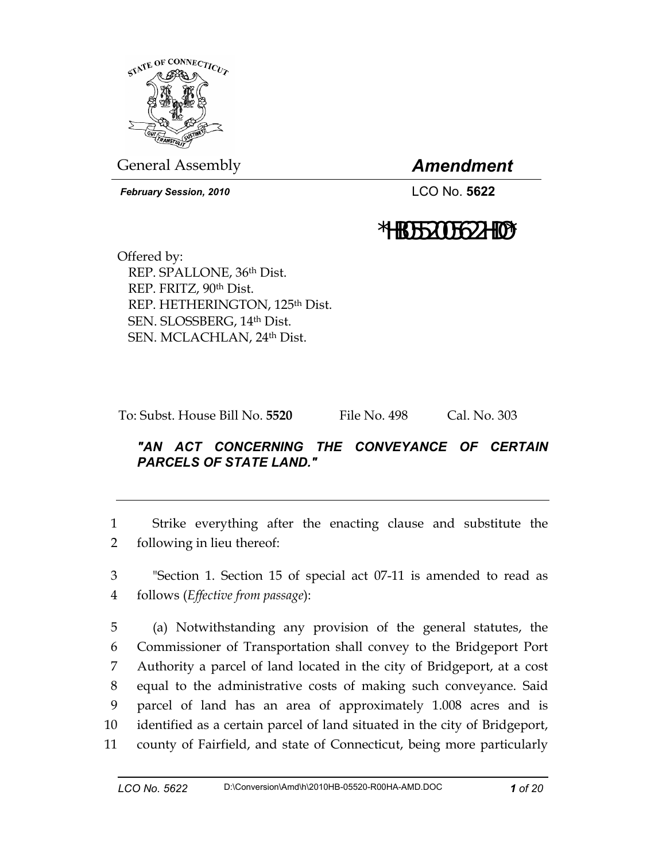

General Assembly *Amendment* 

 *February Session, 2010* LCO No. **5622**

# \*HB0552005622HDO\*

Offered by: REP. SPALLONE, 36th Dist. REP. FRITZ, 90th Dist. REP. HETHERINGTON, 125<sup>th</sup> Dist. SEN. SLOSSBERG, 14th Dist. SEN. MCLACHLAN, 24th Dist.

To: Subst. House Bill No. **5520** File No. 498 Cal. No. 303

## *"AN ACT CONCERNING THE CONVEYANCE OF CERTAIN PARCELS OF STATE LAND."*

1 Strike everything after the enacting clause and substitute the 2 following in lieu thereof:

3 "Section 1. Section 15 of special act 07-11 is amended to read as 4 follows (*Effective from passage*):

5 (a) Notwithstanding any provision of the general statutes, the 6 Commissioner of Transportation shall convey to the Bridgeport Port 7 Authority a parcel of land located in the city of Bridgeport, at a cost 8 equal to the administrative costs of making such conveyance. Said 9 parcel of land has an area of approximately 1.008 acres and is 10 identified as a certain parcel of land situated in the city of Bridgeport, 11 county of Fairfield, and state of Connecticut, being more particularly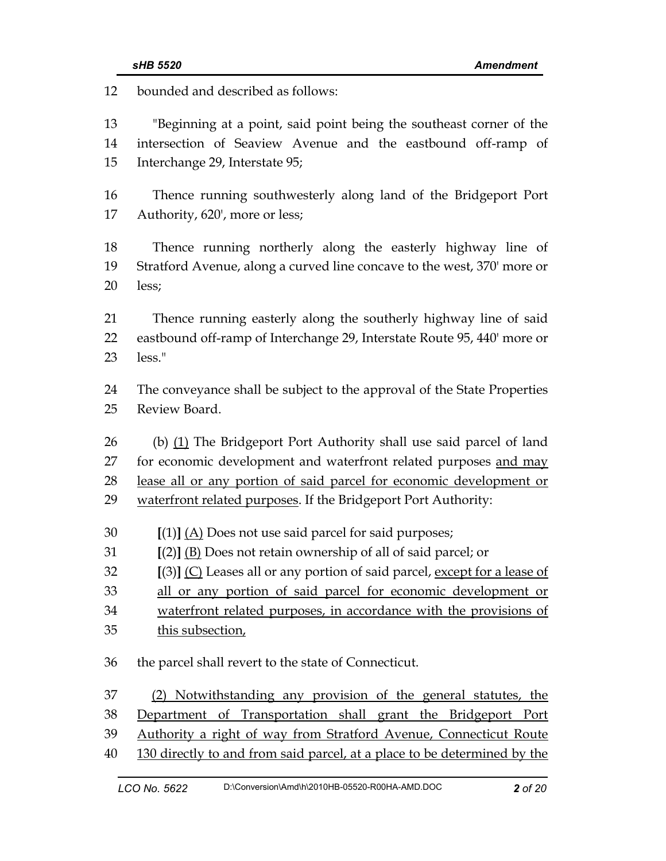12 bounded and described as follows: 13 "Beginning at a point, said point being the southeast corner of the 14 intersection of Seaview Avenue and the eastbound off-ramp of 15 Interchange 29, Interstate 95; 16 Thence running southwesterly along land of the Bridgeport Port 17 Authority, 620', more or less; 18 Thence running northerly along the easterly highway line of 19 Stratford Avenue, along a curved line concave to the west, 370' more or 20 less; 21 Thence running easterly along the southerly highway line of said 22 eastbound off-ramp of Interchange 29, Interstate Route 95, 440' more or 23 less." 24 The conveyance shall be subject to the approval of the State Properties 25 Review Board. 26 (b) (1) The Bridgeport Port Authority shall use said parcel of land 27 for economic development and waterfront related purposes and may 28 lease all or any portion of said parcel for economic development or 29 waterfront related purposes. If the Bridgeport Port Authority: 30 **[**(1)**]** (A) Does not use said parcel for said purposes; 31 **[**(2)**]** (B) Does not retain ownership of all of said parcel; or 32 **[**(3)**]** (C) Leases all or any portion of said parcel, except for a lease of 33 all or any portion of said parcel for economic development or 34 waterfront related purposes, in accordance with the provisions of 35 this subsection, 36 the parcel shall revert to the state of Connecticut. 37 (2) Notwithstanding any provision of the general statutes, the 38 Department of Transportation shall grant the Bridgeport Port 39 Authority a right of way from Stratford Avenue, Connecticut Route 40 130 directly to and from said parcel, at a place to be determined by the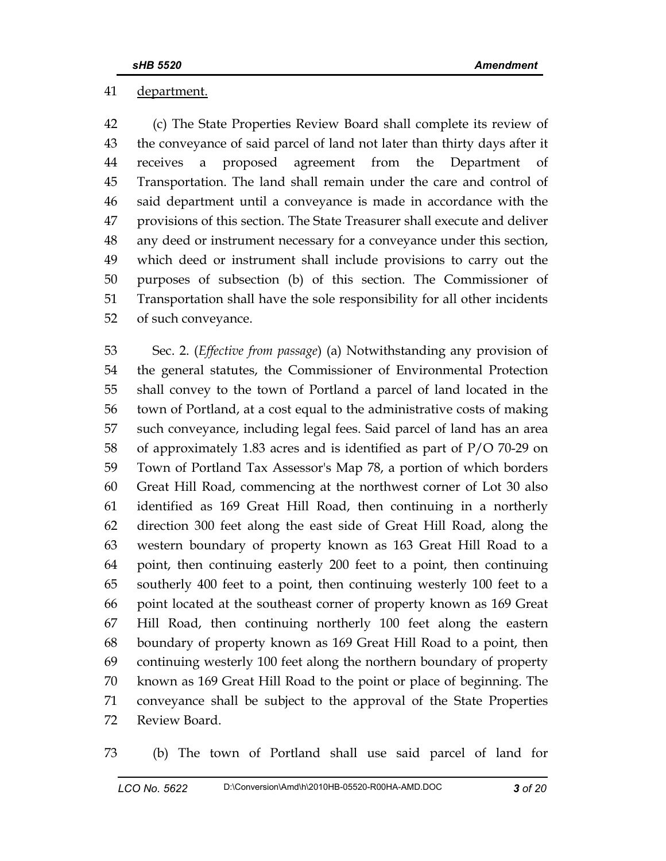#### 41 department.

42 (c) The State Properties Review Board shall complete its review of 43 the conveyance of said parcel of land not later than thirty days after it 44 receives a proposed agreement from the Department of 45 Transportation. The land shall remain under the care and control of 46 said department until a conveyance is made in accordance with the 47 provisions of this section. The State Treasurer shall execute and deliver 48 any deed or instrument necessary for a conveyance under this section, 49 which deed or instrument shall include provisions to carry out the 50 purposes of subsection (b) of this section. The Commissioner of 51 Transportation shall have the sole responsibility for all other incidents 52 of such conveyance.

53 Sec. 2. (*Effective from passage*) (a) Notwithstanding any provision of 54 the general statutes, the Commissioner of Environmental Protection 55 shall convey to the town of Portland a parcel of land located in the 56 town of Portland, at a cost equal to the administrative costs of making 57 such conveyance, including legal fees. Said parcel of land has an area 58 of approximately 1.83 acres and is identified as part of P/O 70-29 on 59 Town of Portland Tax Assessor's Map 78, a portion of which borders 60 Great Hill Road, commencing at the northwest corner of Lot 30 also 61 identified as 169 Great Hill Road, then continuing in a northerly 62 direction 300 feet along the east side of Great Hill Road, along the 63 western boundary of property known as 163 Great Hill Road to a 64 point, then continuing easterly 200 feet to a point, then continuing 65 southerly 400 feet to a point, then continuing westerly 100 feet to a 66 point located at the southeast corner of property known as 169 Great 67 Hill Road, then continuing northerly 100 feet along the eastern 68 boundary of property known as 169 Great Hill Road to a point, then 69 continuing westerly 100 feet along the northern boundary of property 70 known as 169 Great Hill Road to the point or place of beginning. The 71 conveyance shall be subject to the approval of the State Properties 72 Review Board.

73 (b) The town of Portland shall use said parcel of land for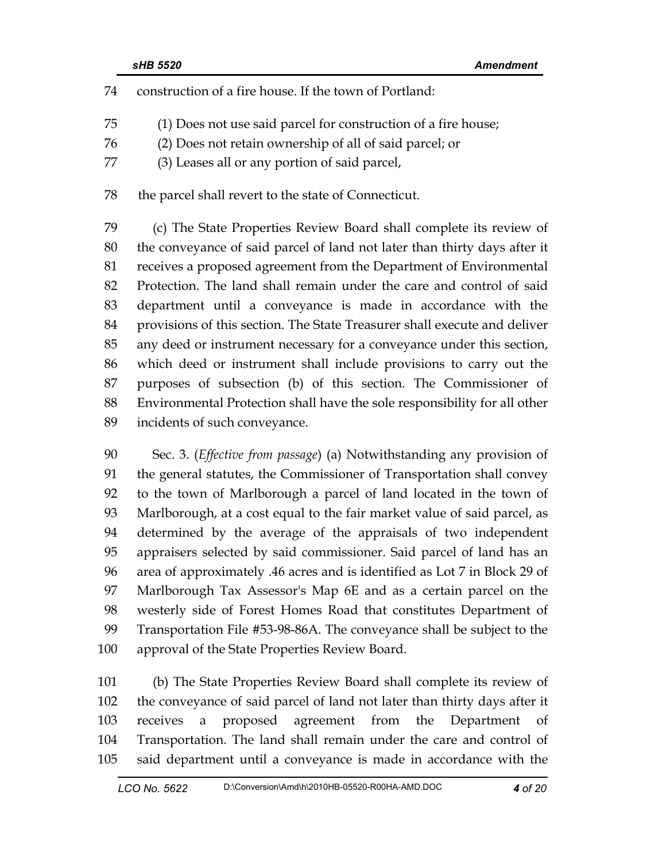- 74 construction of a fire house. If the town of Portland:
- 75 (1) Does not use said parcel for construction of a fire house;
- 76 (2) Does not retain ownership of all of said parcel; or
- 77 (3) Leases all or any portion of said parcel,

78 the parcel shall revert to the state of Connecticut.

79 (c) The State Properties Review Board shall complete its review of 80 the conveyance of said parcel of land not later than thirty days after it 81 receives a proposed agreement from the Department of Environmental 82 Protection. The land shall remain under the care and control of said 83 department until a conveyance is made in accordance with the 84 provisions of this section. The State Treasurer shall execute and deliver 85 any deed or instrument necessary for a conveyance under this section, 86 which deed or instrument shall include provisions to carry out the 87 purposes of subsection (b) of this section. The Commissioner of 88 Environmental Protection shall have the sole responsibility for all other 89 incidents of such conveyance.

90 Sec. 3. (*Effective from passage*) (a) Notwithstanding any provision of 91 the general statutes, the Commissioner of Transportation shall convey 92 to the town of Marlborough a parcel of land located in the town of 93 Marlborough, at a cost equal to the fair market value of said parcel, as 94 determined by the average of the appraisals of two independent 95 appraisers selected by said commissioner. Said parcel of land has an 96 area of approximately .46 acres and is identified as Lot 7 in Block 29 of 97 Marlborough Tax Assessor's Map 6E and as a certain parcel on the 98 westerly side of Forest Homes Road that constitutes Department of 99 Transportation File #53-98-86A. The conveyance shall be subject to the 100 approval of the State Properties Review Board.

101 (b) The State Properties Review Board shall complete its review of 102 the conveyance of said parcel of land not later than thirty days after it 103 receives a proposed agreement from the Department of 104 Transportation. The land shall remain under the care and control of 105 said department until a conveyance is made in accordance with the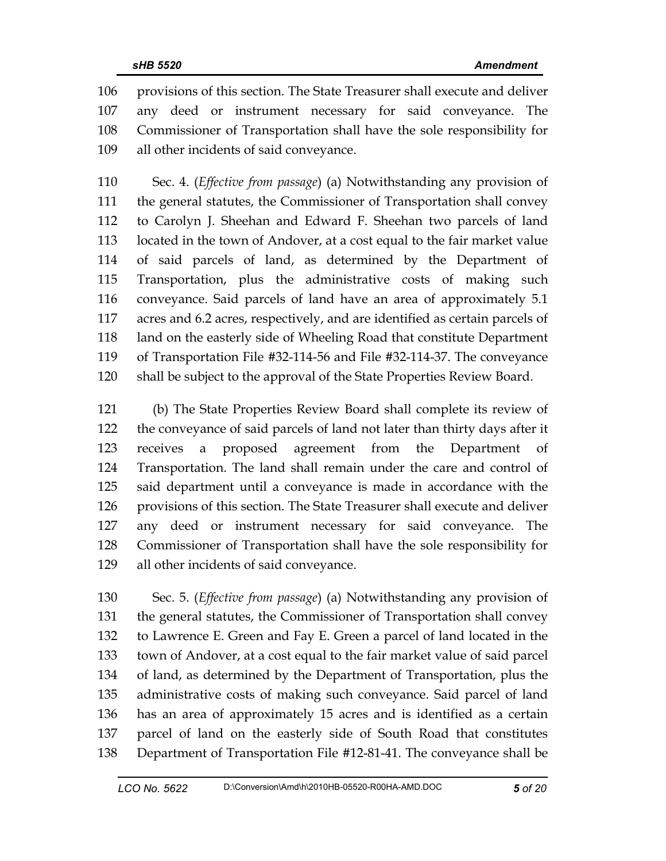106 provisions of this section. The State Treasurer shall execute and deliver 107 any deed or instrument necessary for said conveyance. The 108 Commissioner of Transportation shall have the sole responsibility for 109 all other incidents of said conveyance.

110 Sec. 4. (*Effective from passage*) (a) Notwithstanding any provision of 111 the general statutes, the Commissioner of Transportation shall convey 112 to Carolyn J. Sheehan and Edward F. Sheehan two parcels of land 113 located in the town of Andover, at a cost equal to the fair market value 114 of said parcels of land, as determined by the Department of 115 Transportation, plus the administrative costs of making such 116 conveyance. Said parcels of land have an area of approximately 5.1 117 acres and 6.2 acres, respectively, and are identified as certain parcels of 118 land on the easterly side of Wheeling Road that constitute Department 119 of Transportation File #32-114-56 and File #32-114-37. The conveyance 120 shall be subject to the approval of the State Properties Review Board.

121 (b) The State Properties Review Board shall complete its review of 122 the conveyance of said parcels of land not later than thirty days after it 123 receives a proposed agreement from the Department of 124 Transportation. The land shall remain under the care and control of 125 said department until a conveyance is made in accordance with the 126 provisions of this section. The State Treasurer shall execute and deliver 127 any deed or instrument necessary for said conveyance. The 128 Commissioner of Transportation shall have the sole responsibility for 129 all other incidents of said conveyance.

130 Sec. 5. (*Effective from passage*) (a) Notwithstanding any provision of 131 the general statutes, the Commissioner of Transportation shall convey 132 to Lawrence E. Green and Fay E. Green a parcel of land located in the 133 town of Andover, at a cost equal to the fair market value of said parcel 134 of land, as determined by the Department of Transportation, plus the 135 administrative costs of making such conveyance. Said parcel of land 136 has an area of approximately 15 acres and is identified as a certain 137 parcel of land on the easterly side of South Road that constitutes 138 Department of Transportation File #12-81-41. The conveyance shall be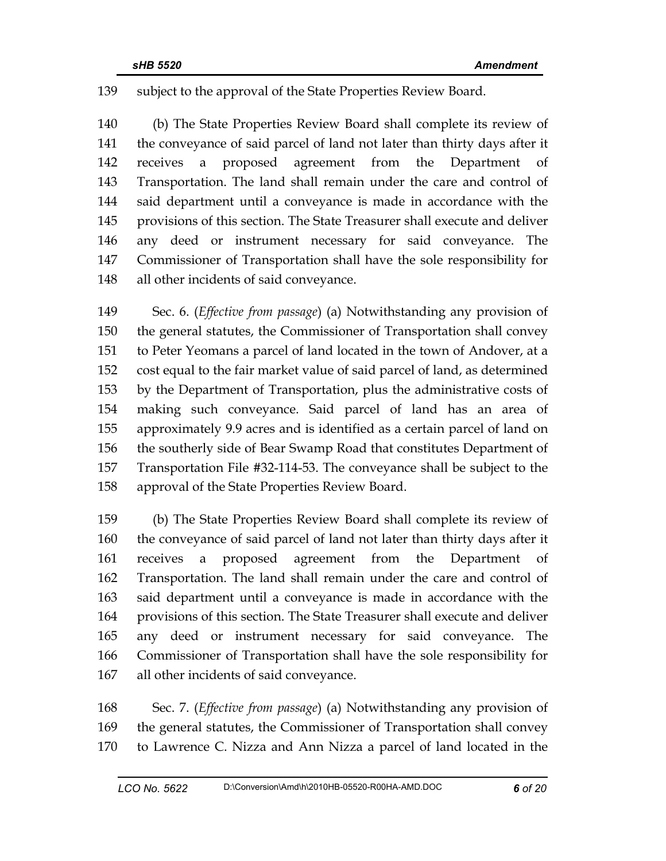#### 139 subject to the approval of the State Properties Review Board.

140 (b) The State Properties Review Board shall complete its review of 141 the conveyance of said parcel of land not later than thirty days after it 142 receives a proposed agreement from the Department of 143 Transportation. The land shall remain under the care and control of 144 said department until a conveyance is made in accordance with the 145 provisions of this section. The State Treasurer shall execute and deliver 146 any deed or instrument necessary for said conveyance. The 147 Commissioner of Transportation shall have the sole responsibility for 148 all other incidents of said conveyance.

149 Sec. 6. (*Effective from passage*) (a) Notwithstanding any provision of 150 the general statutes, the Commissioner of Transportation shall convey 151 to Peter Yeomans a parcel of land located in the town of Andover, at a 152 cost equal to the fair market value of said parcel of land, as determined 153 by the Department of Transportation, plus the administrative costs of 154 making such conveyance. Said parcel of land has an area of 155 approximately 9.9 acres and is identified as a certain parcel of land on 156 the southerly side of Bear Swamp Road that constitutes Department of 157 Transportation File #32-114-53. The conveyance shall be subject to the 158 approval of the State Properties Review Board.

159 (b) The State Properties Review Board shall complete its review of 160 the conveyance of said parcel of land not later than thirty days after it 161 receives a proposed agreement from the Department of 162 Transportation. The land shall remain under the care and control of 163 said department until a conveyance is made in accordance with the 164 provisions of this section. The State Treasurer shall execute and deliver 165 any deed or instrument necessary for said conveyance. The 166 Commissioner of Transportation shall have the sole responsibility for 167 all other incidents of said conveyance.

168 Sec. 7. (*Effective from passage*) (a) Notwithstanding any provision of 169 the general statutes, the Commissioner of Transportation shall convey 170 to Lawrence C. Nizza and Ann Nizza a parcel of land located in the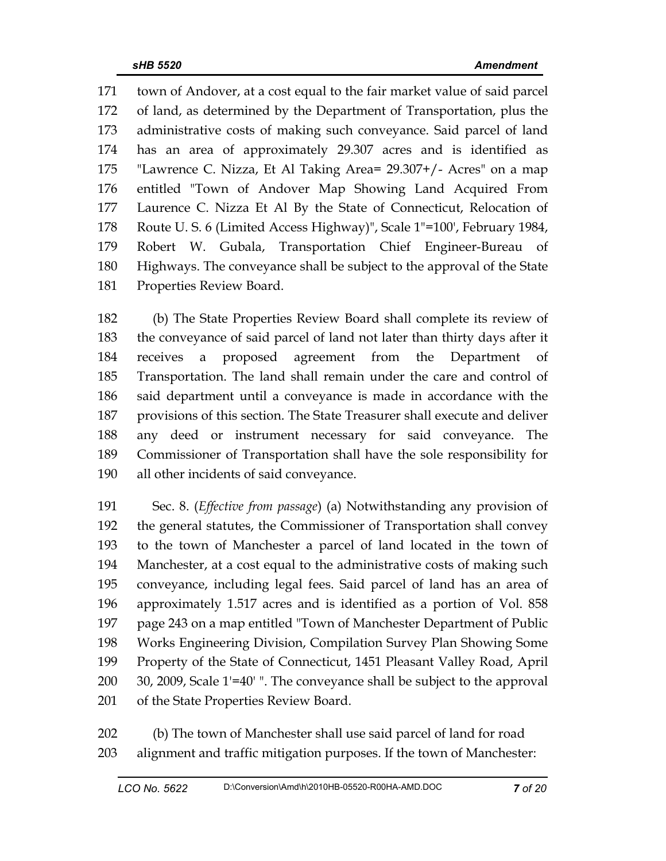171 town of Andover, at a cost equal to the fair market value of said parcel 172 of land, as determined by the Department of Transportation, plus the 173 administrative costs of making such conveyance. Said parcel of land 174 has an area of approximately 29.307 acres and is identified as 175 "Lawrence C. Nizza, Et Al Taking Area= 29.307+/- Acres" on a map 176 entitled "Town of Andover Map Showing Land Acquired From 177 Laurence C. Nizza Et Al By the State of Connecticut, Relocation of 178 Route U. S. 6 (Limited Access Highway)", Scale 1"=100', February 1984, 179 Robert W. Gubala, Transportation Chief Engineer-Bureau of 180 Highways. The conveyance shall be subject to the approval of the State 181 Properties Review Board.

182 (b) The State Properties Review Board shall complete its review of 183 the conveyance of said parcel of land not later than thirty days after it 184 receives a proposed agreement from the Department of 185 Transportation. The land shall remain under the care and control of 186 said department until a conveyance is made in accordance with the 187 provisions of this section. The State Treasurer shall execute and deliver 188 any deed or instrument necessary for said conveyance. The 189 Commissioner of Transportation shall have the sole responsibility for 190 all other incidents of said conveyance.

191 Sec. 8. (*Effective from passage*) (a) Notwithstanding any provision of 192 the general statutes, the Commissioner of Transportation shall convey 193 to the town of Manchester a parcel of land located in the town of 194 Manchester, at a cost equal to the administrative costs of making such 195 conveyance, including legal fees. Said parcel of land has an area of 196 approximately 1.517 acres and is identified as a portion of Vol. 858 197 page 243 on a map entitled "Town of Manchester Department of Public 198 Works Engineering Division, Compilation Survey Plan Showing Some 199 Property of the State of Connecticut, 1451 Pleasant Valley Road, April 200 30, 2009, Scale 1'=40' ". The conveyance shall be subject to the approval 201 of the State Properties Review Board.

202 (b) The town of Manchester shall use said parcel of land for road 203 alignment and traffic mitigation purposes. If the town of Manchester: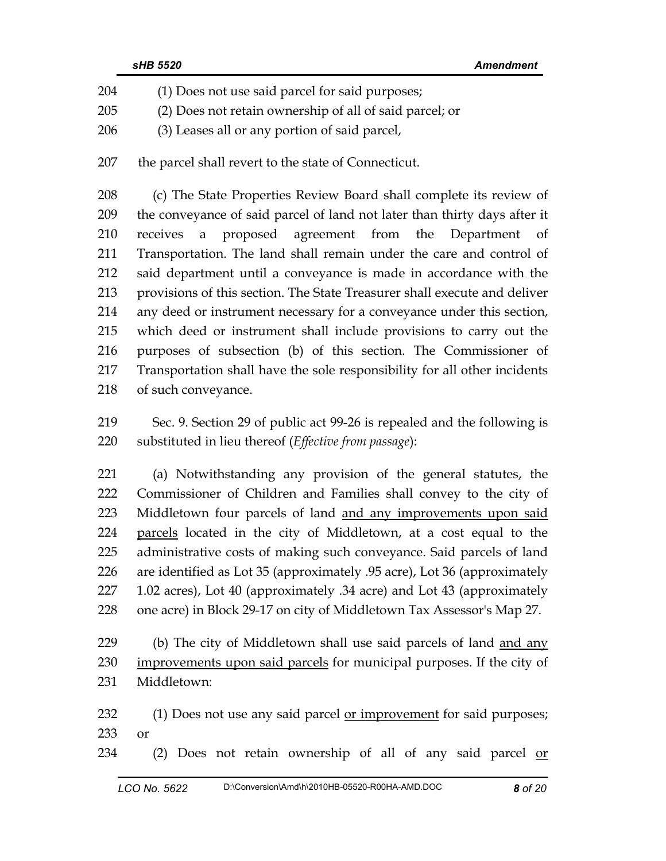|     | sHB 5520<br><b>Amendment</b>                                              |  |
|-----|---------------------------------------------------------------------------|--|
| 204 | (1) Does not use said parcel for said purposes;                           |  |
| 205 | (2) Does not retain ownership of all of said parcel; or                   |  |
| 206 | (3) Leases all or any portion of said parcel,                             |  |
| 207 | the parcel shall revert to the state of Connecticut.                      |  |
| 208 | (c) The State Properties Review Board shall complete its review of        |  |
| 209 | the conveyance of said parcel of land not later than thirty days after it |  |
| 210 | a proposed agreement from the Department of<br>receives                   |  |
| 211 | Transportation. The land shall remain under the care and control of       |  |
| 212 | said department until a conveyance is made in accordance with the         |  |
| 213 | provisions of this section. The State Treasurer shall execute and deliver |  |
| 214 | any deed or instrument necessary for a conveyance under this section,     |  |
| 215 | which deed or instrument shall include provisions to carry out the        |  |
| 216 | purposes of subsection (b) of this section. The Commissioner of           |  |
| 217 | Transportation shall have the sole responsibility for all other incidents |  |

218 of such conveyance.

219 Sec. 9. Section 29 of public act 99-26 is repealed and the following is 220 substituted in lieu thereof (*Effective from passage*):

221 (a) Notwithstanding any provision of the general statutes, the 222 Commissioner of Children and Families shall convey to the city of 223 Middletown four parcels of land and any improvements upon said 224 parcels located in the city of Middletown, at a cost equal to the 225 administrative costs of making such conveyance. Said parcels of land 226 are identified as Lot 35 (approximately .95 acre), Lot 36 (approximately 227 1.02 acres), Lot 40 (approximately .34 acre) and Lot 43 (approximately 228 one acre) in Block 29-17 on city of Middletown Tax Assessor's Map 27.

229 (b) The city of Middletown shall use said parcels of land and any 230 improvements upon said parcels for municipal purposes. If the city of 231 Middletown:

232 (1) Does not use any said parcel or improvement for said purposes; 233 or

234 (2) Does not retain ownership of all of any said parcel or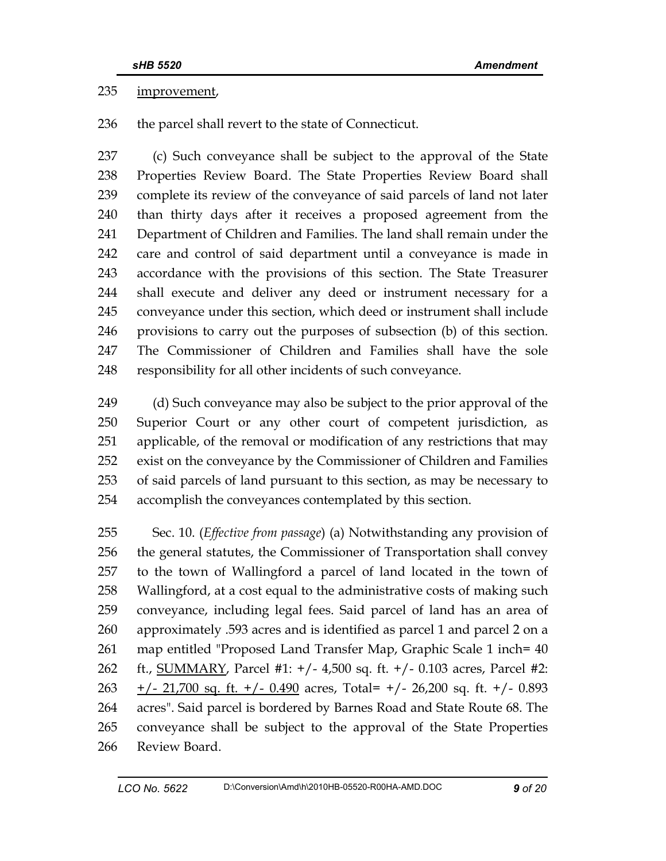#### 235 improvement,

236 the parcel shall revert to the state of Connecticut.

237 (c) Such conveyance shall be subject to the approval of the State 238 Properties Review Board. The State Properties Review Board shall 239 complete its review of the conveyance of said parcels of land not later 240 than thirty days after it receives a proposed agreement from the 241 Department of Children and Families. The land shall remain under the 242 care and control of said department until a conveyance is made in 243 accordance with the provisions of this section. The State Treasurer 244 shall execute and deliver any deed or instrument necessary for a 245 conveyance under this section, which deed or instrument shall include 246 provisions to carry out the purposes of subsection (b) of this section. 247 The Commissioner of Children and Families shall have the sole 248 responsibility for all other incidents of such conveyance.

249 (d) Such conveyance may also be subject to the prior approval of the 250 Superior Court or any other court of competent jurisdiction, as 251 applicable, of the removal or modification of any restrictions that may 252 exist on the conveyance by the Commissioner of Children and Families 253 of said parcels of land pursuant to this section, as may be necessary to 254 accomplish the conveyances contemplated by this section.

255 Sec. 10. (*Effective from passage*) (a) Notwithstanding any provision of 256 the general statutes, the Commissioner of Transportation shall convey 257 to the town of Wallingford a parcel of land located in the town of 258 Wallingford, at a cost equal to the administrative costs of making such 259 conveyance, including legal fees. Said parcel of land has an area of 260 approximately .593 acres and is identified as parcel 1 and parcel 2 on a 261 map entitled "Proposed Land Transfer Map, Graphic Scale 1 inch= 40 262 ft., SUMMARY, Parcel #1: +/- 4,500 sq. ft. +/- 0.103 acres, Parcel #2: 263  $\pm$ /- 21,700 sq. ft.  $\pm$ /- 0.490 acres, Total=  $\pm$ /- 26,200 sq. ft.  $\pm$ /- 0.893 264 acres". Said parcel is bordered by Barnes Road and State Route 68. The 265 conveyance shall be subject to the approval of the State Properties 266 Review Board.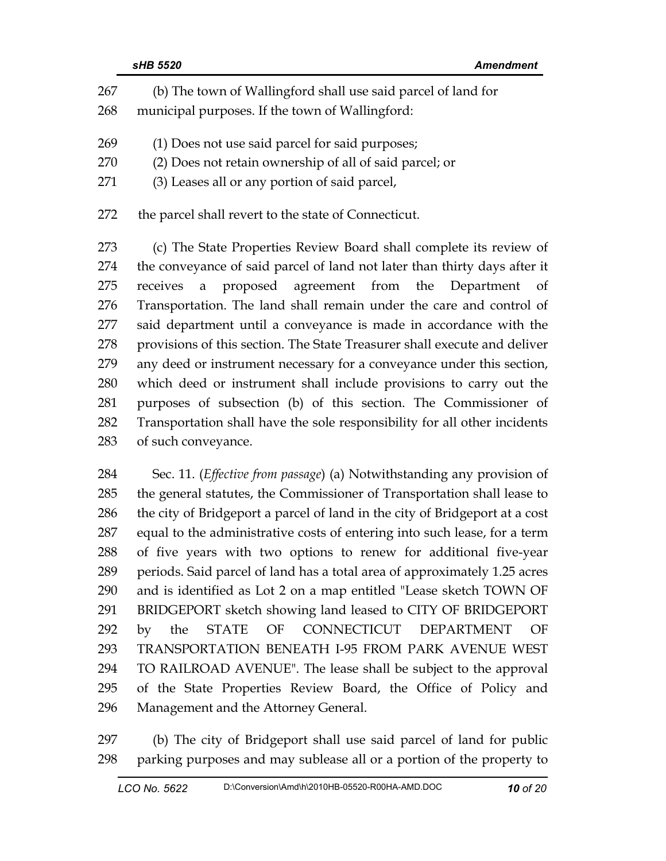| 267 | (b) The town of Wallingford shall use said parcel of land for             |  |  |
|-----|---------------------------------------------------------------------------|--|--|
| 268 | municipal purposes. If the town of Wallingford:                           |  |  |
| 269 | (1) Does not use said parcel for said purposes;                           |  |  |
| 270 | (2) Does not retain ownership of all of said parcel; or                   |  |  |
| 271 | (3) Leases all or any portion of said parcel,                             |  |  |
| 272 | the parcel shall revert to the state of Connecticut.                      |  |  |
| 273 | (c) The State Properties Review Board shall complete its review of        |  |  |
| 274 | the conveyance of said parcel of land not later than thirty days after it |  |  |
| 275 | proposed agreement from the Department of<br>receives<br>a                |  |  |
| 276 | Transportation. The land shall remain under the care and control of       |  |  |
| 277 | said department until a conveyance is made in accordance with the         |  |  |
| 278 | provisions of this section. The State Treasurer shall execute and deliver |  |  |
| 279 | any deed or instrument necessary for a conveyance under this section,     |  |  |
| 280 | which deed or instrument shall include provisions to carry out the        |  |  |
| 281 | purposes of subsection (b) of this section. The Commissioner of           |  |  |
| 282 | Transportation shall have the sole responsibility for all other incidents |  |  |

283 of such conveyance.

284 Sec. 11. (*Effective from passage*) (a) Notwithstanding any provision of 285 the general statutes, the Commissioner of Transportation shall lease to 286 the city of Bridgeport a parcel of land in the city of Bridgeport at a cost 287 equal to the administrative costs of entering into such lease, for a term 288 of five years with two options to renew for additional five-year 289 periods. Said parcel of land has a total area of approximately 1.25 acres 290 and is identified as Lot 2 on a map entitled "Lease sketch TOWN OF 291 BRIDGEPORT sketch showing land leased to CITY OF BRIDGEPORT 292 by the STATE OF CONNECTICUT DEPARTMENT OF 293 TRANSPORTATION BENEATH I-95 FROM PARK AVENUE WEST 294 TO RAILROAD AVENUE". The lease shall be subject to the approval 295 of the State Properties Review Board, the Office of Policy and 296 Management and the Attorney General.

297 (b) The city of Bridgeport shall use said parcel of land for public 298 parking purposes and may sublease all or a portion of the property to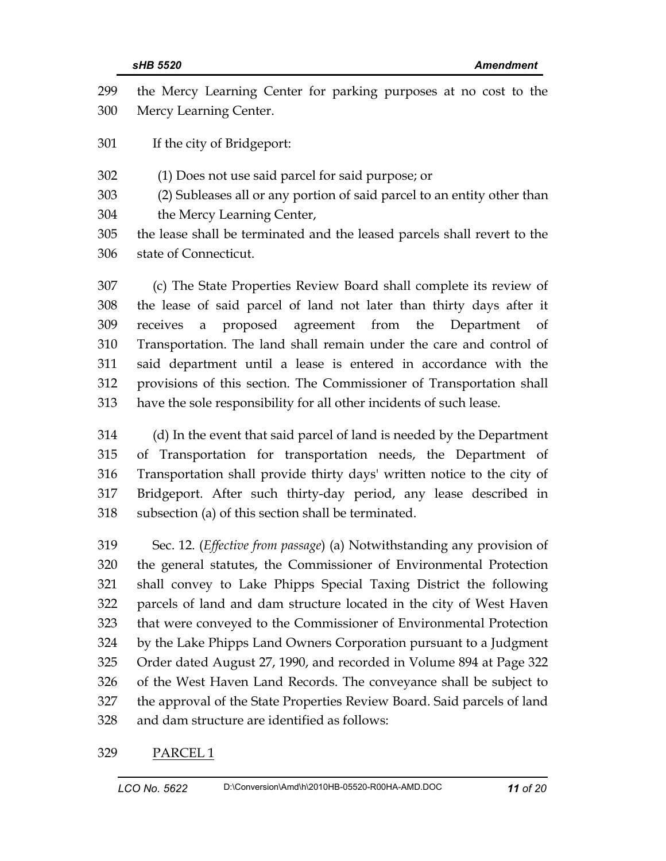| 299 | the Mercy Learning Center for parking purposes at no cost to the         |  |
|-----|--------------------------------------------------------------------------|--|
| 300 | Mercy Learning Center.                                                   |  |
| 301 | If the city of Bridgeport:                                               |  |
| 302 | (1) Does not use said parcel for said purpose; or                        |  |
| 303 | (2) Subleases all or any portion of said parcel to an entity other than  |  |
| 304 | the Mercy Learning Center,                                               |  |
| 305 | the lease shall be terminated and the leased parcels shall revert to the |  |
| 306 | state of Connecticut.                                                    |  |
| 307 | (c) The State Properties Review Board shall complete its review of       |  |
| 308 | the lease of said parcel of land not later than thirty days after it     |  |
| 309 | proposed agreement from the Department of<br>receives<br>$\alpha$        |  |
| 310 | Transportation. The land shall remain under the care and control of      |  |
| 311 | said department until a lease is entered in accordance with the          |  |
| 312 | provisions of this section. The Commissioner of Transportation shall     |  |
| 313 | have the sole responsibility for all other incidents of such lease.      |  |
| 314 | (d) In the event that said parcel of land is needed by the Department    |  |

315 of Transportation for transportation needs, the Department of 316 Transportation shall provide thirty days' written notice to the city of 317 Bridgeport. After such thirty-day period, any lease described in 318 subsection (a) of this section shall be terminated.

319 Sec. 12. (*Effective from passage*) (a) Notwithstanding any provision of 320 the general statutes, the Commissioner of Environmental Protection 321 shall convey to Lake Phipps Special Taxing District the following 322 parcels of land and dam structure located in the city of West Haven 323 that were conveyed to the Commissioner of Environmental Protection 324 by the Lake Phipps Land Owners Corporation pursuant to a Judgment 325 Order dated August 27, 1990, and recorded in Volume 894 at Page 322 326 of the West Haven Land Records. The conveyance shall be subject to 327 the approval of the State Properties Review Board. Said parcels of land 328 and dam structure are identified as follows:

#### 329 PARCEL 1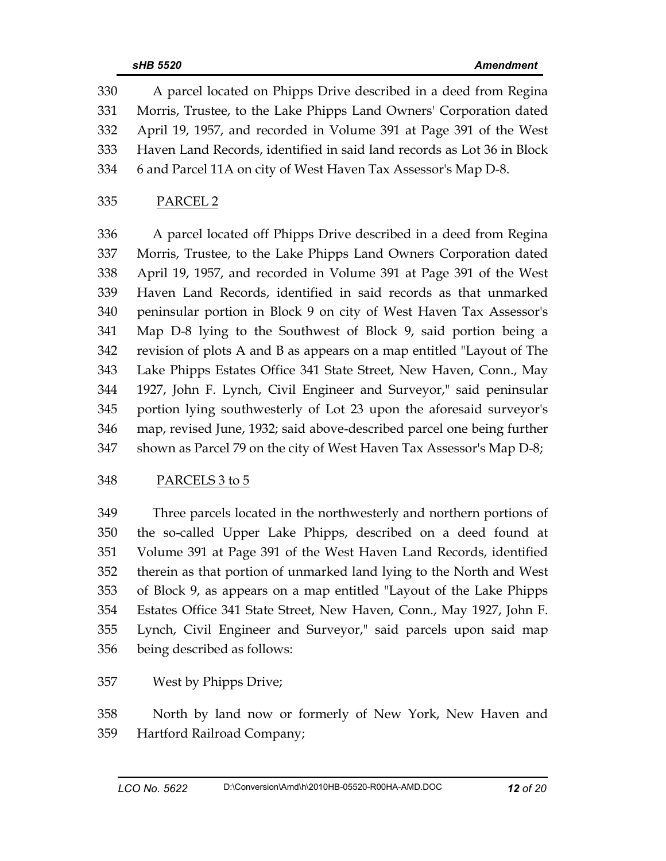330 A parcel located on Phipps Drive described in a deed from Regina 331 Morris, Trustee, to the Lake Phipps Land Owners' Corporation dated 332 April 19, 1957, and recorded in Volume 391 at Page 391 of the West 333 Haven Land Records, identified in said land records as Lot 36 in Block 334 6 and Parcel 11A on city of West Haven Tax Assessor's Map D-8.

#### 335 PARCEL 2

336 A parcel located off Phipps Drive described in a deed from Regina 337 Morris, Trustee, to the Lake Phipps Land Owners Corporation dated 338 April 19, 1957, and recorded in Volume 391 at Page 391 of the West 339 Haven Land Records, identified in said records as that unmarked 340 peninsular portion in Block 9 on city of West Haven Tax Assessor's 341 Map D-8 lying to the Southwest of Block 9, said portion being a 342 revision of plots A and B as appears on a map entitled "Layout of The 343 Lake Phipps Estates Office 341 State Street, New Haven, Conn., May 344 1927, John F. Lynch, Civil Engineer and Surveyor," said peninsular 345 portion lying southwesterly of Lot 23 upon the aforesaid surveyor's 346 map, revised June, 1932; said above-described parcel one being further 347 shown as Parcel 79 on the city of West Haven Tax Assessor's Map D-8;

### 348 PARCELS 3 to 5

349 Three parcels located in the northwesterly and northern portions of 350 the so-called Upper Lake Phipps, described on a deed found at 351 Volume 391 at Page 391 of the West Haven Land Records, identified 352 therein as that portion of unmarked land lying to the North and West 353 of Block 9, as appears on a map entitled "Layout of the Lake Phipps 354 Estates Office 341 State Street, New Haven, Conn., May 1927, John F. 355 Lynch, Civil Engineer and Surveyor," said parcels upon said map 356 being described as follows:

### 357 West by Phipps Drive;

358 North by land now or formerly of New York, New Haven and 359 Hartford Railroad Company;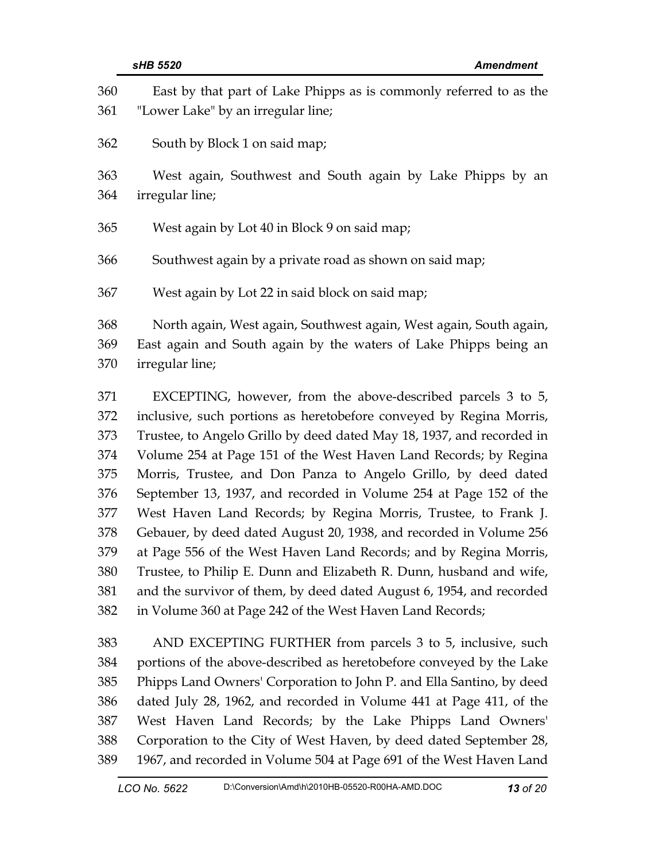| 360           | East by that part of Lake Phipps as is commonly referred to as the                                                                                                                                                              |  |  |
|---------------|---------------------------------------------------------------------------------------------------------------------------------------------------------------------------------------------------------------------------------|--|--|
| 361           | "Lower Lake" by an irregular line;                                                                                                                                                                                              |  |  |
| 362           | South by Block 1 on said map;                                                                                                                                                                                                   |  |  |
| 363           | West again, Southwest and South again by Lake Phipps by an                                                                                                                                                                      |  |  |
| 364           | irregular line;                                                                                                                                                                                                                 |  |  |
| 365           | West again by Lot 40 in Block 9 on said map;                                                                                                                                                                                    |  |  |
| 366           | Southwest again by a private road as shown on said map;                                                                                                                                                                         |  |  |
| 367           | West again by Lot 22 in said block on said map;                                                                                                                                                                                 |  |  |
| 368           | North again, West again, Southwest again, West again, South again,                                                                                                                                                              |  |  |
| 369           | East again and South again by the waters of Lake Phipps being an                                                                                                                                                                |  |  |
| 370           | irregular line;                                                                                                                                                                                                                 |  |  |
| 371           | EXCEPTING, however, from the above-described parcels 3 to 5,                                                                                                                                                                    |  |  |
| 372           | inclusive, such portions as heretobefore conveyed by Regina Morris,                                                                                                                                                             |  |  |
| $\sim$ $\sim$ | $T = 1$ $(1)$ $(1)$ $(1)$ $(1)$ $(1)$ $(1)$ $(1)$ $(1)$ $(1)$ $(1)$ $(1)$ $(1)$ $(1)$ $(1)$ $(1)$ $(1)$ $(1)$ $(1)$ $(1)$ $(1)$ $(1)$ $(1)$ $(1)$ $(1)$ $(1)$ $(1)$ $(1)$ $(1)$ $(1)$ $(1)$ $(1)$ $(1)$ $(1)$ $(1)$ $(1)$ $(1)$ |  |  |

373 Trustee, to Angelo Grillo by deed dated May 18, 1937, and recorded in 374 Volume 254 at Page 151 of the West Haven Land Records; by Regina 375 Morris, Trustee, and Don Panza to Angelo Grillo, by deed dated 376 September 13, 1937, and recorded in Volume 254 at Page 152 of the 377 West Haven Land Records; by Regina Morris, Trustee, to Frank J. 378 Gebauer, by deed dated August 20, 1938, and recorded in Volume 256 379 at Page 556 of the West Haven Land Records; and by Regina Morris, 380 Trustee, to Philip E. Dunn and Elizabeth R. Dunn, husband and wife, 381 and the survivor of them, by deed dated August 6, 1954, and recorded 382 in Volume 360 at Page 242 of the West Haven Land Records;

383 AND EXCEPTING FURTHER from parcels 3 to 5, inclusive, such 384 portions of the above-described as heretobefore conveyed by the Lake 385 Phipps Land Owners' Corporation to John P. and Ella Santino, by deed 386 dated July 28, 1962, and recorded in Volume 441 at Page 411, of the 387 West Haven Land Records; by the Lake Phipps Land Owners' 388 Corporation to the City of West Haven, by deed dated September 28, 389 1967, and recorded in Volume 504 at Page 691 of the West Haven Land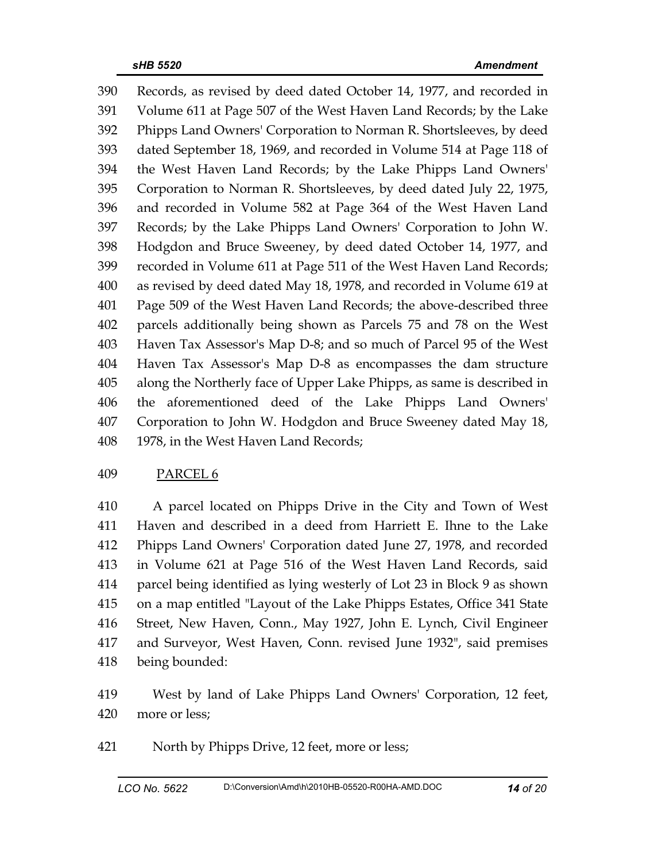390 Records, as revised by deed dated October 14, 1977, and recorded in 391 Volume 611 at Page 507 of the West Haven Land Records; by the Lake 392 Phipps Land Owners' Corporation to Norman R. Shortsleeves, by deed 393 dated September 18, 1969, and recorded in Volume 514 at Page 118 of 394 the West Haven Land Records; by the Lake Phipps Land Owners' 395 Corporation to Norman R. Shortsleeves, by deed dated July 22, 1975, 396 and recorded in Volume 582 at Page 364 of the West Haven Land 397 Records; by the Lake Phipps Land Owners' Corporation to John W. 398 Hodgdon and Bruce Sweeney, by deed dated October 14, 1977, and 399 recorded in Volume 611 at Page 511 of the West Haven Land Records; 400 as revised by deed dated May 18, 1978, and recorded in Volume 619 at 401 Page 509 of the West Haven Land Records; the above-described three 402 parcels additionally being shown as Parcels 75 and 78 on the West 403 Haven Tax Assessor's Map D-8; and so much of Parcel 95 of the West 404 Haven Tax Assessor's Map D-8 as encompasses the dam structure 405 along the Northerly face of Upper Lake Phipps, as same is described in 406 the aforementioned deed of the Lake Phipps Land Owners' 407 Corporation to John W. Hodgdon and Bruce Sweeney dated May 18, 408 1978, in the West Haven Land Records;

#### 409 PARCEL 6

410 A parcel located on Phipps Drive in the City and Town of West 411 Haven and described in a deed from Harriett E. Ihne to the Lake 412 Phipps Land Owners' Corporation dated June 27, 1978, and recorded 413 in Volume 621 at Page 516 of the West Haven Land Records, said 414 parcel being identified as lying westerly of Lot 23 in Block 9 as shown 415 on a map entitled "Layout of the Lake Phipps Estates, Office 341 State 416 Street, New Haven, Conn., May 1927, John E. Lynch, Civil Engineer 417 and Surveyor, West Haven, Conn. revised June 1932", said premises 418 being bounded:

419 West by land of Lake Phipps Land Owners' Corporation, 12 feet, 420 more or less;

421 North by Phipps Drive, 12 feet, more or less;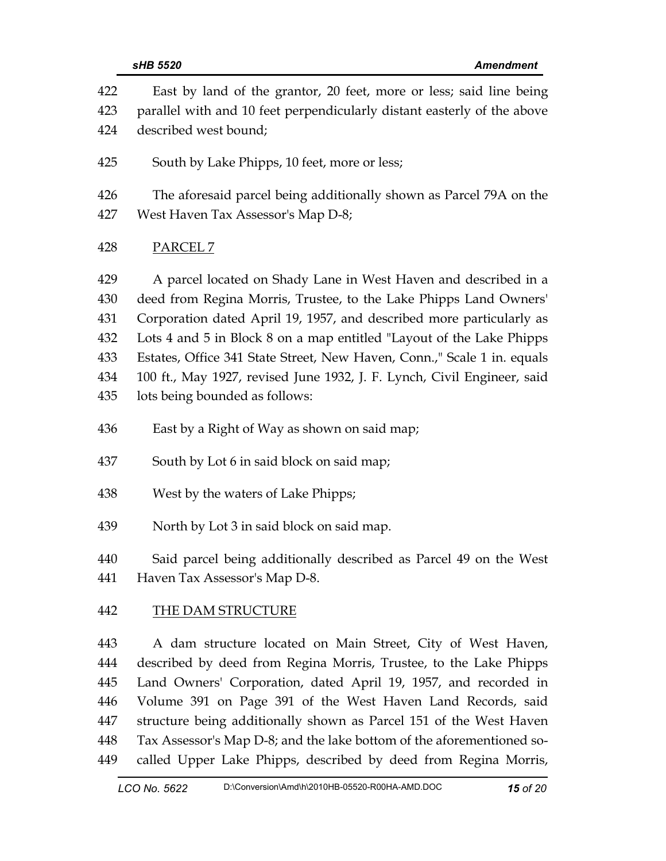| 422<br>423<br>424                             | East by land of the grantor, 20 feet, more or less; said line being<br>parallel with and 10 feet perpendicularly distant easterly of the above<br>described west bound;                                                                                                                                                                                                                                                                                                      |
|-----------------------------------------------|------------------------------------------------------------------------------------------------------------------------------------------------------------------------------------------------------------------------------------------------------------------------------------------------------------------------------------------------------------------------------------------------------------------------------------------------------------------------------|
| 425                                           | South by Lake Phipps, 10 feet, more or less;                                                                                                                                                                                                                                                                                                                                                                                                                                 |
| 426<br>427                                    | The aforesaid parcel being additionally shown as Parcel 79A on the<br>West Haven Tax Assessor's Map D-8;                                                                                                                                                                                                                                                                                                                                                                     |
| 428                                           | PARCEL <sub>7</sub>                                                                                                                                                                                                                                                                                                                                                                                                                                                          |
| 429<br>430<br>431<br>432<br>433<br>434<br>435 | A parcel located on Shady Lane in West Haven and described in a<br>deed from Regina Morris, Trustee, to the Lake Phipps Land Owners'<br>Corporation dated April 19, 1957, and described more particularly as<br>Lots 4 and 5 in Block 8 on a map entitled "Layout of the Lake Phipps<br>Estates, Office 341 State Street, New Haven, Conn.," Scale 1 in. equals<br>100 ft., May 1927, revised June 1932, J. F. Lynch, Civil Engineer, said<br>lots being bounded as follows: |
| 436                                           | East by a Right of Way as shown on said map;                                                                                                                                                                                                                                                                                                                                                                                                                                 |
| 437                                           | South by Lot 6 in said block on said map;                                                                                                                                                                                                                                                                                                                                                                                                                                    |
| 438                                           | West by the waters of Lake Phipps;                                                                                                                                                                                                                                                                                                                                                                                                                                           |
| 439                                           | North by Lot 3 in said block on said map.                                                                                                                                                                                                                                                                                                                                                                                                                                    |
| 440<br>441                                    | Said parcel being additionally described as Parcel 49 on the West<br>Haven Tax Assessor's Map D-8.                                                                                                                                                                                                                                                                                                                                                                           |
| 442                                           | <u>THE DAM STRUCTURE</u>                                                                                                                                                                                                                                                                                                                                                                                                                                                     |
| 443<br>444<br>445<br>446<br>447               | A dam structure located on Main Street, City of West Haven,<br>described by deed from Regina Morris, Trustee, to the Lake Phipps<br>Land Owners' Corporation, dated April 19, 1957, and recorded in<br>Volume 391 on Page 391 of the West Haven Land Records, said<br>structure being additionally shown as Parcel 151 of the West Haven                                                                                                                                     |

448 Tax Assessor's Map D-8; and the lake bottom of the aforementioned so-449 called Upper Lake Phipps, described by deed from Regina Morris,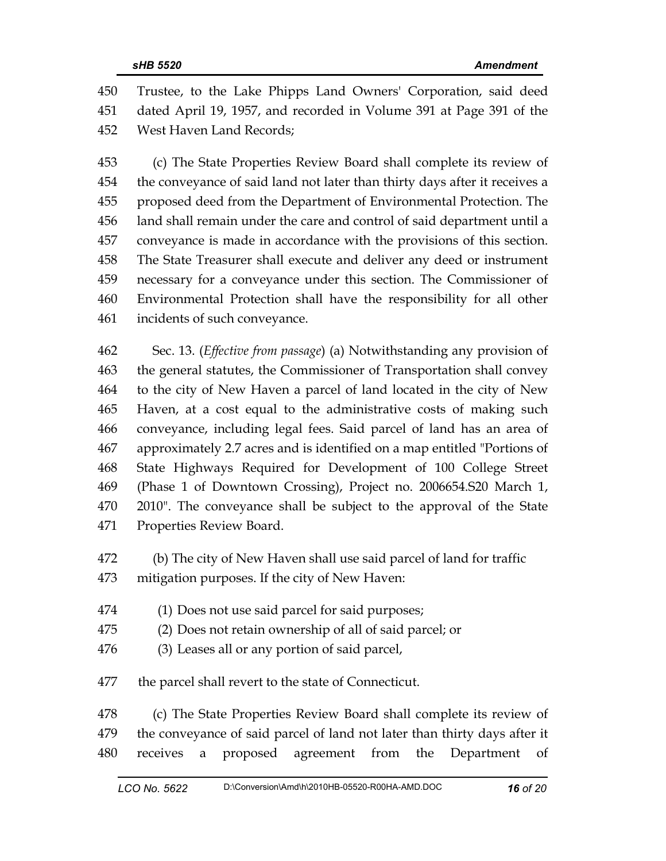450 Trustee, to the Lake Phipps Land Owners' Corporation, said deed 451 dated April 19, 1957, and recorded in Volume 391 at Page 391 of the 452 West Haven Land Records;

453 (c) The State Properties Review Board shall complete its review of 454 the conveyance of said land not later than thirty days after it receives a 455 proposed deed from the Department of Environmental Protection. The 456 land shall remain under the care and control of said department until a 457 conveyance is made in accordance with the provisions of this section. 458 The State Treasurer shall execute and deliver any deed or instrument 459 necessary for a conveyance under this section. The Commissioner of 460 Environmental Protection shall have the responsibility for all other 461 incidents of such conveyance.

462 Sec. 13. (*Effective from passage*) (a) Notwithstanding any provision of 463 the general statutes, the Commissioner of Transportation shall convey 464 to the city of New Haven a parcel of land located in the city of New 465 Haven, at a cost equal to the administrative costs of making such 466 conveyance, including legal fees. Said parcel of land has an area of 467 approximately 2.7 acres and is identified on a map entitled "Portions of 468 State Highways Required for Development of 100 College Street 469 (Phase 1 of Downtown Crossing), Project no. 2006654.S20 March 1, 470 2010". The conveyance shall be subject to the approval of the State 471 Properties Review Board.

472 (b) The city of New Haven shall use said parcel of land for traffic 473 mitigation purposes. If the city of New Haven:

- 474 (1) Does not use said parcel for said purposes;
- 475 (2) Does not retain ownership of all of said parcel; or
- 476 (3) Leases all or any portion of said parcel,
- 477 the parcel shall revert to the state of Connecticut.

478 (c) The State Properties Review Board shall complete its review of 479 the conveyance of said parcel of land not later than thirty days after it 480 receives a proposed agreement from the Department of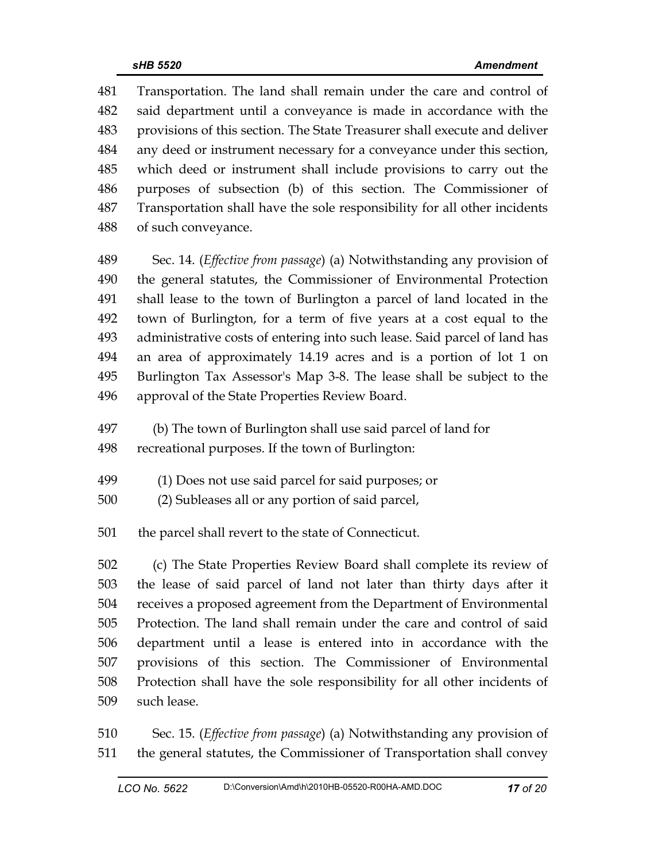481 Transportation. The land shall remain under the care and control of 482 said department until a conveyance is made in accordance with the 483 provisions of this section. The State Treasurer shall execute and deliver 484 any deed or instrument necessary for a conveyance under this section, 485 which deed or instrument shall include provisions to carry out the 486 purposes of subsection (b) of this section. The Commissioner of 487 Transportation shall have the sole responsibility for all other incidents 488 of such conveyance.

489 Sec. 14. (*Effective from passage*) (a) Notwithstanding any provision of 490 the general statutes, the Commissioner of Environmental Protection 491 shall lease to the town of Burlington a parcel of land located in the 492 town of Burlington, for a term of five years at a cost equal to the 493 administrative costs of entering into such lease. Said parcel of land has 494 an area of approximately 14.19 acres and is a portion of lot 1 on 495 Burlington Tax Assessor's Map 3-8. The lease shall be subject to the 496 approval of the State Properties Review Board.

497 (b) The town of Burlington shall use said parcel of land for

498 recreational purposes. If the town of Burlington:

499 (1) Does not use said parcel for said purposes; or

500 (2) Subleases all or any portion of said parcel,

501 the parcel shall revert to the state of Connecticut.

502 (c) The State Properties Review Board shall complete its review of 503 the lease of said parcel of land not later than thirty days after it 504 receives a proposed agreement from the Department of Environmental 505 Protection. The land shall remain under the care and control of said 506 department until a lease is entered into in accordance with the 507 provisions of this section. The Commissioner of Environmental 508 Protection shall have the sole responsibility for all other incidents of 509 such lease.

510 Sec. 15. (*Effective from passage*) (a) Notwithstanding any provision of 511 the general statutes, the Commissioner of Transportation shall convey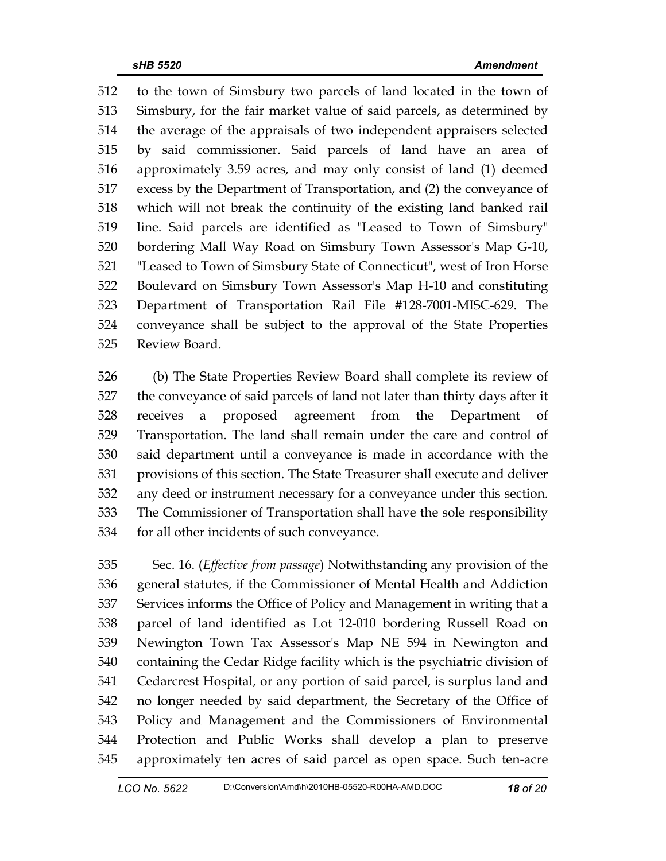512 to the town of Simsbury two parcels of land located in the town of 513 Simsbury, for the fair market value of said parcels, as determined by 514 the average of the appraisals of two independent appraisers selected 515 by said commissioner. Said parcels of land have an area of 516 approximately 3.59 acres, and may only consist of land (1) deemed 517 excess by the Department of Transportation, and (2) the conveyance of 518 which will not break the continuity of the existing land banked rail 519 line. Said parcels are identified as "Leased to Town of Simsbury" 520 bordering Mall Way Road on Simsbury Town Assessor's Map G-10, 521 "Leased to Town of Simsbury State of Connecticut", west of Iron Horse 522 Boulevard on Simsbury Town Assessor's Map H-10 and constituting 523 Department of Transportation Rail File #128-7001-MISC-629. The 524 conveyance shall be subject to the approval of the State Properties 525 Review Board.

526 (b) The State Properties Review Board shall complete its review of 527 the conveyance of said parcels of land not later than thirty days after it 528 receives a proposed agreement from the Department of 529 Transportation. The land shall remain under the care and control of 530 said department until a conveyance is made in accordance with the 531 provisions of this section. The State Treasurer shall execute and deliver 532 any deed or instrument necessary for a conveyance under this section. 533 The Commissioner of Transportation shall have the sole responsibility 534 for all other incidents of such conveyance.

535 Sec. 16. (*Effective from passage*) Notwithstanding any provision of the 536 general statutes, if the Commissioner of Mental Health and Addiction 537 Services informs the Office of Policy and Management in writing that a 538 parcel of land identified as Lot 12-010 bordering Russell Road on 539 Newington Town Tax Assessor's Map NE 594 in Newington and 540 containing the Cedar Ridge facility which is the psychiatric division of 541 Cedarcrest Hospital, or any portion of said parcel, is surplus land and 542 no longer needed by said department, the Secretary of the Office of 543 Policy and Management and the Commissioners of Environmental 544 Protection and Public Works shall develop a plan to preserve 545 approximately ten acres of said parcel as open space. Such ten-acre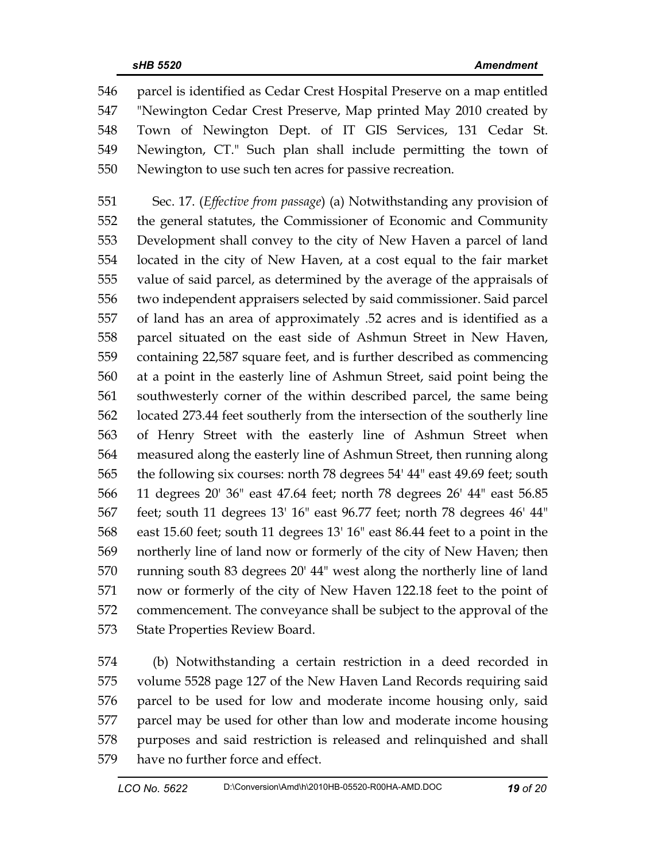546 parcel is identified as Cedar Crest Hospital Preserve on a map entitled 547 "Newington Cedar Crest Preserve, Map printed May 2010 created by 548 Town of Newington Dept. of IT GIS Services, 131 Cedar St. 549 Newington, CT." Such plan shall include permitting the town of 550 Newington to use such ten acres for passive recreation.

551 Sec. 17. (*Effective from passage*) (a) Notwithstanding any provision of 552 the general statutes, the Commissioner of Economic and Community 553 Development shall convey to the city of New Haven a parcel of land 554 located in the city of New Haven, at a cost equal to the fair market 555 value of said parcel, as determined by the average of the appraisals of 556 two independent appraisers selected by said commissioner. Said parcel 557 of land has an area of approximately .52 acres and is identified as a 558 parcel situated on the east side of Ashmun Street in New Haven, 559 containing 22,587 square feet, and is further described as commencing 560 at a point in the easterly line of Ashmun Street, said point being the 561 southwesterly corner of the within described parcel, the same being 562 located 273.44 feet southerly from the intersection of the southerly line 563 of Henry Street with the easterly line of Ashmun Street when 564 measured along the easterly line of Ashmun Street, then running along 565 the following six courses: north 78 degrees 54' 44" east 49.69 feet; south 566 11 degrees 20' 36" east 47.64 feet; north 78 degrees 26' 44" east 56.85 567 feet; south 11 degrees 13' 16" east 96.77 feet; north 78 degrees 46' 44" 568 east 15.60 feet; south 11 degrees 13' 16" east 86.44 feet to a point in the 569 northerly line of land now or formerly of the city of New Haven; then 570 running south 83 degrees 20' 44" west along the northerly line of land 571 now or formerly of the city of New Haven 122.18 feet to the point of 572 commencement. The conveyance shall be subject to the approval of the 573 State Properties Review Board.

574 (b) Notwithstanding a certain restriction in a deed recorded in 575 volume 5528 page 127 of the New Haven Land Records requiring said 576 parcel to be used for low and moderate income housing only, said 577 parcel may be used for other than low and moderate income housing 578 purposes and said restriction is released and relinquished and shall 579 have no further force and effect.